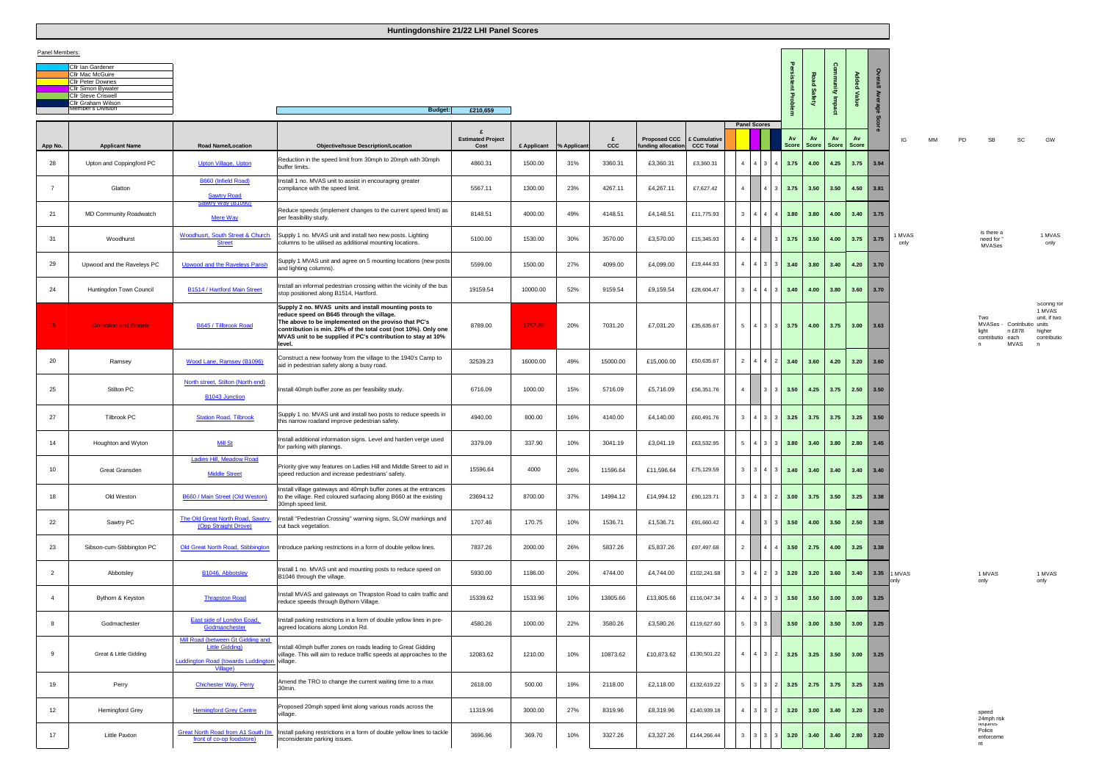| Cllr Ian Gardener          |
|----------------------------|
| <b>Cllr Mac McGuire</b>    |
| <b>Cllr Peter Downes</b>   |
| Cllr Simon Bywater         |
| <b>Cllr Steve Criswell</b> |
| <b>Cllr Graham Wilson</b>  |
| Member's Division          |
|                            |

| IG             | МM | PD | SB                                           | SC                                                 | GW                                                                  |
|----------------|----|----|----------------------------------------------|----------------------------------------------------|---------------------------------------------------------------------|
| 1 MVAS<br>only |    |    | is there a<br>need for "<br><b>MVASes</b>    |                                                    | 1 MVAS<br>only                                                      |
|                |    |    | Two<br>MVASes -<br>light<br>contributio<br>n | Contributio units<br>n £878<br>each<br><b>MVAS</b> | Scoring for<br>1 MVAS<br>unit, if two<br>higher<br>contributio<br>n |
|                |    |    |                                              |                                                    |                                                                     |
| <b>MVAS</b>    |    |    | 1 MVAS                                       |                                                    | 1 MVAS                                                              |
| nly            |    |    | only                                         |                                                    | only                                                                |
|                |    |    |                                              |                                                    |                                                                     |

|                 |                                                                                                                                                                         |                                                                                                                         | <b>Handrong Constitute Line Line Report Concert</b>                                                                                                                                                                                                                                                    |                                  |             |             |          |                                                     |              |                |                                    |                        |                       |                |                |                  |                |    |    |                                        |
|-----------------|-------------------------------------------------------------------------------------------------------------------------------------------------------------------------|-------------------------------------------------------------------------------------------------------------------------|--------------------------------------------------------------------------------------------------------------------------------------------------------------------------------------------------------------------------------------------------------------------------------------------------------|----------------------------------|-------------|-------------|----------|-----------------------------------------------------|--------------|----------------|------------------------------------|------------------------|-----------------------|----------------|----------------|------------------|----------------|----|----|----------------------------------------|
| Panel Members:  |                                                                                                                                                                         |                                                                                                                         |                                                                                                                                                                                                                                                                                                        |                                  |             |             |          |                                                     |              |                |                                    |                        |                       |                |                |                  |                |    |    |                                        |
|                 | Cllr Ian Gardener<br>Cllr Mac McGuire<br><b>Cllr Peter Downes</b><br><b>Cllr Simon Bywater</b><br><b>Cllr Steve Criswell</b><br>Cllr Graham Wilson<br>Member's Division |                                                                                                                         |                                                                                                                                                                                                                                                                                                        |                                  |             |             |          |                                                     |              |                |                                    | ent Proble             | Road<br><b>Safety</b> | nmunity Impact | Added<br>Value | Overall<br>Avera |                |    |    |                                        |
|                 |                                                                                                                                                                         |                                                                                                                         | <b>Budget:</b><br>£210,659                                                                                                                                                                                                                                                                             |                                  |             |             |          |                                                     |              |                |                                    |                        |                       |                |                | თ                |                |    |    |                                        |
| App No.         | <b>Applicant Name</b>                                                                                                                                                   | <b>Road Name/Location</b>                                                                                               | <b>Objective/Issue Description/Location</b>                                                                                                                                                                                                                                                            | <b>Estimated Project</b><br>Cost | £ Applicant | % Applicant | £<br>ccc | <b>Proposed CCC</b><br>funding allocation CCC Total | £ Cumulative |                | <b>Panel Scores</b>                | Av<br><b>Score</b>     | Av<br>Score           | Score          | Av<br>Score    |                  | IG             | MM | PD | SI                                     |
| 28              | Upton and Coppingford PC                                                                                                                                                | <b>Upton Village, Upton</b>                                                                                             | Reduction in the speed limit from 30mph to 20mph with 30mph<br>buffer limits.                                                                                                                                                                                                                          | 4860.31                          | 1500.00     | 31%         | 3360.31  | £3,360.31                                           | £3,360.31    |                | $4 \mid 4 \mid 3$                  | $4 \mid 3.75$          | 4.00                  | 4.25           |                | $3.75$ 3.94      |                |    |    |                                        |
| $\overline{7}$  | Glatton                                                                                                                                                                 | B660 (Infield Road)<br><b>Sawtry Road</b>                                                                               | Install 1 no. MVAS unit to assist in encouraging greater<br>compliance with the speed limit.                                                                                                                                                                                                           | 5567.11                          | 1300.00     | 23%         | 4267.11  | £4,267.11                                           | £7,627.42    | $\overline{4}$ |                                    | 3.75                   | 3.50                  | 3.50           | 4.50           | 3.81             |                |    |    |                                        |
| 21              | MD Community Roadwatch                                                                                                                                                  | <u>awtry Way (B1090)</u><br>Mere Way                                                                                    | Reduce speeds (implement changes to the current speed limit) as<br>per feasibility study.                                                                                                                                                                                                              | 8148.51                          | 4000.00     | 49%         | 4148.51  | £4,148.51                                           | £11,775.93   |                | $3 \mid 4 \mid 4$                  | $4 \mid 3.80$          | 3.80                  | 4.00           | 3.40           | 3.75             |                |    |    |                                        |
| 31              | Woodhurst                                                                                                                                                               | Woodhusrt, South Street & Church<br><b>Street</b>                                                                       | Supply 1 no. MVAS unit and install two new posts. Lighting<br>columns to be utilised as additional mounting locations.                                                                                                                                                                                 | 5100.00                          | 1530.00     | 30%         | 3570.00  | £3,570.00                                           | £15,345.93   |                | $4 \mid 4 \mid$<br>$\mathbf{R}$    | 3.75                   | 3.50                  | 4.00           | 3.75           | 3.75             | 1 MVAS<br>only |    |    | is the<br>need<br><b>MVA</b>           |
| 29              | Upwood and the Raveleys PC                                                                                                                                              | <b>Upwood and the Raveleys Parish</b>                                                                                   | Supply 1 MVAS unit and agree on 5 mounting locations (new posts<br>and lighting columns).                                                                                                                                                                                                              | 5599.00                          | 1500.00     | 27%         | 4099.00  | £4,099.00                                           | £19,444.93   |                | 4 4 3 3 3 3 40                     |                        | 3.80                  | 3.40           |                | $4.20$ 3.70      |                |    |    |                                        |
| 24              | Huntingdon Town Council                                                                                                                                                 | <b>B1514 / Hartford Main Street</b>                                                                                     | Install an informal pedestrian crossing within the vicinity of the bus<br>stop positioned along B1514, Hartford.                                                                                                                                                                                       | 19159.54                         | 10000.00    | 52%         | 9159.54  | £9,159.54                                           | £28,604.47   |                | $3 \quad 4 \quad 4$                | 3 <sup>1</sup><br>3.40 | 4.00                  | 3.80           | 3.60           | 3.70             |                |    |    |                                        |
| 15 <sub>1</sub> | <b>Kimbolton and Stonely</b>                                                                                                                                            | B645 / Tillbrook Road                                                                                                   | Supply 2 no. MVAS units and install mounting posts to<br>reduce speed on B645 through the village.<br>The above to be implemented on the proviso that PC's<br>contribution is min. 20% of the total cost (not 10%). Only one<br>MVAS unit to be supplied if PC's contribution to stay at 10%<br>level. | 8789.00                          | 1757.80     | 20%         | 7031.20  | £7,031.20                                           | £35,635.67   |                | 5 4 3 3 3 3 75                     |                        | 4.00                  | 3.75           |                | $3.00$ $3.63$    |                |    |    | Two<br><b>MVAS</b><br>light<br>contrib |
| 20              | Ramsey                                                                                                                                                                  | Wood Lane, Ramsey (B1096)                                                                                               | Construct a new footway from the village to the 1940's Camp to<br>aid in pedestrian safety along a busy road.                                                                                                                                                                                          | 32539.23                         | 16000.00    | 49%         | 15000.00 | £15,000.00                                          | £50,635.67   |                | 2 4 4 2 3.40                       |                        | 3.60                  | 4.20           |                | $3.20$ $3.60$    |                |    |    |                                        |
| 25              | Stilton PC                                                                                                                                                              | North street, Stilton (North end)<br><b>B1043 Junction</b>                                                              | Install 40mph buffer zone as per feasibility study.                                                                                                                                                                                                                                                    | 6716.09                          | 1000.00     | 15%         | 5716.09  | £5,716.09                                           | £56,351.76   | $4 \mid$       |                                    | $3 \mid 3 \mid 3.50$   | 4.25                  | 3.75           | 2.50           | 3.50             |                |    |    |                                        |
| 27              | Tilbrook PC                                                                                                                                                             | <b>Station Road, Tilbrook</b>                                                                                           | Supply 1 no. MVAS unit and install two posts to reduce speeds in<br>this narrow roadand improve pedestrian safety.                                                                                                                                                                                     | 4940.00                          | 800.00      | 16%         | 4140.00  | £4,140.00                                           | £60,491.76   |                | $3 \mid 4 \mid 3 \mid 3 \mid 3.25$ |                        |                       | $3.75$ $3.75$  |                | $3.25$ $3.50$    |                |    |    |                                        |
| 14              | Houghton and Wyton                                                                                                                                                      | <b>Mill St</b>                                                                                                          | Install additional information signs. Level and harden verge used<br>for parking with planings.                                                                                                                                                                                                        | 3379.09                          | 337.90      | 10%         | 3041.19  | £3,041.19                                           | £63,532.95   |                | $5 \mid 4 \mid 3$                  | $3 \mid 3.80$          |                       | $3.40$ $3.80$  | $2.80$ 3.45    |                  |                |    |    |                                        |
| 10              | Great Gransden                                                                                                                                                          | adies Hill, Meadow Road<br><b>Middle Street</b>                                                                         | Priority give way features on Ladies Hill and Middle Street to aid in<br>speed reduction and increase pedestrians' safety.                                                                                                                                                                             | 15596.64                         | 4000        | 26%         | 11596.64 | £11,596.64                                          | £75,129.59   |                | $3 \mid 3 \mid 4$                  | $\overline{3}$<br>3.40 | 3.40                  | 3.40           | 3.40           | 3.40             |                |    |    |                                        |
| 18              | Old Weston                                                                                                                                                              | B660 / Main Street (Old Weston)                                                                                         | Install village gateways and 40mph buffer zones at the entrances<br>to the village. Red coloured surfacing along B660 at the existing<br>30mph speed limit.                                                                                                                                            | 23694.12                         | 8700.00     | 37%         | 14994.12 | £14,994.12                                          | £90,123.71   |                | $3 \quad 4 \quad 3 \quad 2$        | 3.00                   | 3.75                  | 3.50           |                | $3.25$ $3.38$    |                |    |    |                                        |
| 22              | Sawtry PC                                                                                                                                                               | The Old Great North Road, Sawtry<br>(Opp Straight Drove)                                                                | Install "Pedestrian Crossing" warning signs, SLOW markings and<br>cut back vegetation.                                                                                                                                                                                                                 | 1707.46                          | 170.75      | 10%         | 1536.71  | £1,536.71                                           | £91,660.42   | $\overline{4}$ | 3 <sup>1</sup><br>$\mathcal{R}$    | 3.50                   | 4.00                  | 3.50           | 2.50           | 3.38             |                |    |    |                                        |
| 23              | Sibson-cum-Stibbington PC                                                                                                                                               | Old Great North Road, Stibbington                                                                                       | Introduce parking restrictions in a form of double yellow lines.                                                                                                                                                                                                                                       | 7837.26                          | 2000.00     | 26%         | 5837.26  | £5,837.26                                           | £97,497.68   | $2^+$          | $\overline{4}$                     | 3.50                   | 2.75                  | 4.00           | 3.25           | 3.38             |                |    |    |                                        |
| $\overline{2}$  | Abbotsley                                                                                                                                                               | B1046, Abbotsley                                                                                                        | Install 1 no. MVAS unit and mounting posts to reduce speed on<br>B1046 through the village.                                                                                                                                                                                                            | 5930.00                          | 1186.00     | 20%         | 4744.00  | £4,744.00                                           | £102,241.68  |                | $3 \mid 4 \mid 2 \mid 3 \mid$      | 3.20                   | 3.20                  | 3.60           | 3.40           | 3.35             | 1 MVAS<br>only |    |    | $1$ MV $\overline{4}$<br>only          |
| $\overline{4}$  | Bythorn & Keyston                                                                                                                                                       | <b>Thrapston Road</b>                                                                                                   | Install MVAS and gateways on Thrapston Road to calm traffic and<br>reduce speeds through Bythorn Village.                                                                                                                                                                                              | 15339.62                         | 1533.96     | 10%         | 13805.66 | £13,805.66                                          | £116,047.34  | $\overline{4}$ | $\vert 4 \vert$<br>$\vert$ 3       | 3.50                   | 3.50                  | 3.00           | 3.00           | 3.25             |                |    |    |                                        |
| 8               | Godmachester                                                                                                                                                            | East side of London Eoad,<br>Godmanchester                                                                              | Install parking restrictions in a form of double yellow lines in pre-<br>agreed locations along London Rd.                                                                                                                                                                                             | 4580.26                          | 1000.00     | 22%         | 3580.26  | £3,580.26                                           | £119,627.60  |                | $5 \quad 3 \quad 3$                | 3.50                   | 3.00                  | 3.50           | 3.00           | 3.25             |                |    |    |                                        |
| - 9             | Great & Little Gidding                                                                                                                                                  | Mill Road (between Gt Gidding and<br><b>Little Gidding)</b><br>Luddington Road (towards Luddington village.<br>Village) | Install 40mph buffer zones on roads leading to Great Gidding<br>village. This will aim to reduce traffic speeds at approaches to the                                                                                                                                                                   | 12083.62                         | 1210.00     | 10%         | 10873.62 | £10,873.62                                          | £130,501.22  | $\overline{4}$ | $4 \mid 3 \mid$                    | 3.25<br>2 L            | 3.25                  | 3.50           | 3.00           | 3.25             |                |    |    |                                        |
| 19              | Perry                                                                                                                                                                   | <b>Chichester Way, Perry</b>                                                                                            | Amend the TRO to change the current waiting time to a max<br>30min.                                                                                                                                                                                                                                    | 2618.00                          | 500.00      | 19%         | 2118.00  | £2,118.00                                           | £132,619.22  |                | $5 \mid 3 \mid 3$                  | 3.25<br>2 L            | 2.75                  | 3.75           |                | $3.25$ 3.25      |                |    |    |                                        |
| 12 <sup>2</sup> | <b>Hemingford Grey</b>                                                                                                                                                  | <b>Hemingford Grey Centre</b>                                                                                           | Proposed 20mph spped limit along various roads across the<br>village.                                                                                                                                                                                                                                  | 11319.96                         | 3000.00     | 27%         | 8319.96  | £8,319.96                                           | £140,939.18  | $\overline{4}$ | $3 \overline{3}$                   | 3.20                   | 3.00                  | 3.40           | 3.20           | 3.20             |                |    |    | speed<br>$24$ mph<br>require           |
| 17              | Little Paxton                                                                                                                                                           | Great North Road from A1 South (In<br>front of co-op foodstore)                                                         | Install parking restrictions in a form of double yellow lines to tackle<br>inconsiderate parking issues.                                                                                                                                                                                               | 3696.96                          | 369.70      | 10%         | 3327.26  | £3,327.26                                           | £144,266.44  |                | $3 \mid 3 \mid 3$                  | 3.20                   | 3.40                  | 3.40           |                | $2.80$ $3.20$    |                |    |    | Police<br>enforc<br>nt                 |

24mph risk requires Police enforceme nt

**Huntingdonshire 21/22 LHI Panel Scores**